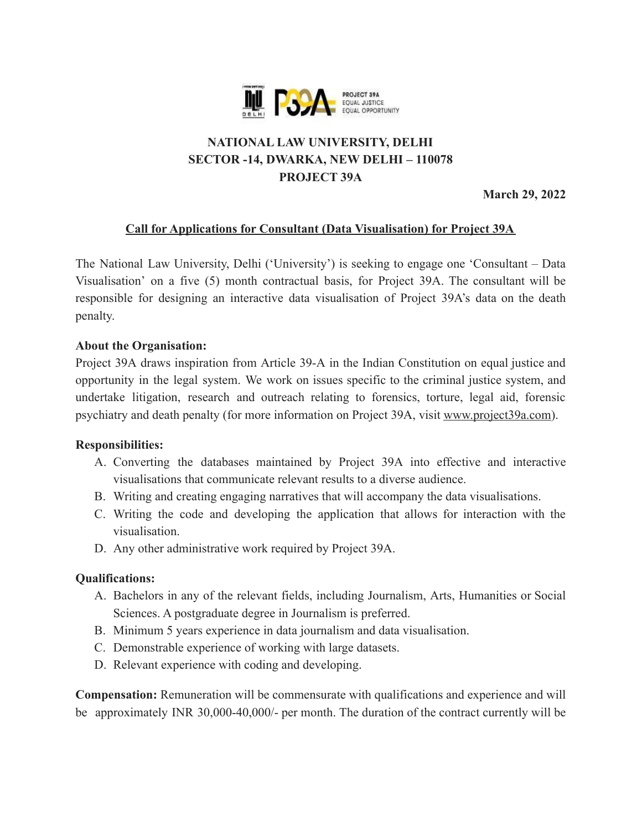

# **NATIONAL LAW UNIVERSITY, DELHI SECTOR -14, DWARKA, NEW DELHI – 110078 PROJECT 39A**

 **March 29, 2022**

# **Call for Applications for Consultant (Data Visualisation) for Project 39A**

The National Law University, Delhi ('University') is seeking to engage one 'Consultant – Data Visualisation' on a five (5) month contractual basis, for Project 39A. The consultant will be responsible for designing an interactive data visualisation of Project 39A's data on the death penalty.

#### **About the Organisation:**

Project 39A draws inspiration from Article 39-A in the Indian Constitution on equal justice and opportunity in the legal system. We work on issues specific to the criminal justice system, and undertake litigation, research and outreach relating to forensics, torture, legal aid, forensic psychiatry and death penalty (for more information on Project 39A, visit [www.project39a.com\)](http://www.project39a.com/).

#### **Responsibilities:**

- A. Converting the databases maintained by Project 39A into effective and interactive visualisations that communicate relevant results to a diverse audience.
- B. Writing and creating engaging narratives that will accompany the data visualisations.
- C. Writing the code and developing the application that allows for interaction with the visualisation.
- D. Any other administrative work required by Project 39A.

## **Qualifications:**

- A. Bachelors in any of the relevant fields, including Journalism, Arts, Humanities or Social Sciences. A postgraduate degree in Journalism is preferred.
- B. Minimum 5 years experience in data journalism and data visualisation.
- C. Demonstrable experience of working with large datasets.
- D. Relevant experience with coding and developing.

**Compensation:** Remuneration will be commensurate with qualifications and experience and will be approximately INR 30,000-40,000/- per month. The duration of the contract currently will be